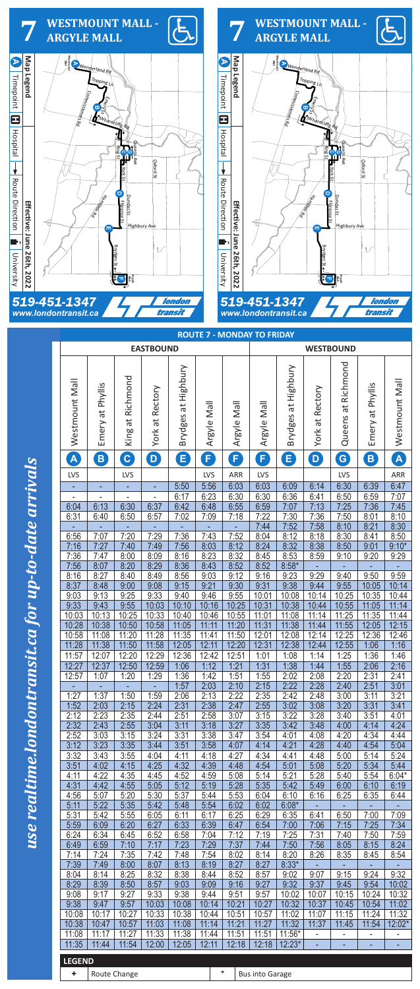**ROUTE 7 - MONDAY TO FRIDAY**



| <b>EASTBOUND</b> |                  |                  |                 |                     |                |                | <b>WESTBOUND</b>       |                     |                 |                    |                  |                |  |
|------------------|------------------|------------------|-----------------|---------------------|----------------|----------------|------------------------|---------------------|-----------------|--------------------|------------------|----------------|--|
| Westmount Mall   | Emery at Phyllis | King at Richmond | York at Rectory | Brydges at Highbury | Argyle Mall    | Argyle Mall    | Argyle Mall            | Brydges at Highbury | York at Rectory | Queens at Richmond | Emery at Phyllis | Westmount Mall |  |
| $\mathbf{A}$     | $\boxed{B}$      | $\mathbf{c}$     | D               | B                   | F              | $\mathbf{F}$   | F)                     | B                   | D)              | G                  | B                | A              |  |
| <b>LVS</b>       |                  | LVS              |                 |                     | LVS            | ARR            | <b>LVS</b>             |                     |                 | <b>LVS</b>         |                  | ARR            |  |
|                  |                  | ÷                |                 | 5:50                | 5:56           | 6:03           | 6:03                   | 6:09                | 6:14            | 6:30               | 6:39             | 6:47           |  |
| 6:04             | 6:13             | 6:30             | 6:37            | 6:17<br>6:42        | 6:23           | 6:30<br>6:55   | 6:30<br>6:59           | 6:36<br>7:07        | 6:41<br>7:13    | 6:50<br>7:25       | 6:59<br>7:36     | 7:07           |  |
| 6:31             | 6:40             | 6:50             | 6:57            | 7:02                | 6:48<br>7:09   | 7:18           | 7:22                   | 7:30                | 7:36            | 7:50               | 8:01             | 7:45<br>8:10   |  |
|                  |                  |                  |                 | ٠                   |                | ÷              | 7:44                   | 7:52                | 7:58            | 8:10               | 8:21             | 8:30           |  |
| 6:56             | 7:07             | 7:20             | 7:29            | 7:36                | 7:43           | 7:52           | 8:04                   | 8:12                | 8:18            | 8:30               | 8:41             | 8:50           |  |
| 7:16             | 7:27             | 7:40             | 7:49            | 7:56                | 8:03           | 8:12           | 8:24                   | 8:32                | 8:38            | 8:50               | 9:01             | $9:10*$        |  |
| 7:36             | 7:47             | 8:00             | 8:09            | 8:16                | 8:23           | 8:32           | 8:45                   | 8:53                | 8:59            | 9:10               | 9:20             | 9:29           |  |
| 7:56             | 8:07             | 8:20             | 8:29            | 8:36                | 8:43           | 8:52<br>9:12   | 8:52                   | $8:58*$             |                 |                    |                  |                |  |
| 8:16<br>8:37     | 8:27<br>8:48     | 8:40<br>9:00     | 8:49<br>9:08    | 8:56<br>9:15        | 9:03<br>9:21   | 9:30           | 9:16<br>9:31           | 9:23<br>9:38        | 9:29<br>9:44    | 9:40<br>9:55       | 9:50<br>10:05    | 9:59<br>10:14  |  |
| 9:03             | 9:13             | 9:25             | 9:33            | 9:40                | 9:46           | 9:55           | 10:01                  | 10:08               | 10:14           | 10:25              | 10:35            | 10:44          |  |
| 9:33             | 9:43             | 9:55             | 10:03           | 10:10               | 10:16          | 10:25          | 10:31                  | 10:38               | 10:44           | 10:55              | 11:05            | 11:14          |  |
| 10:03            | 10:13            | 10:25            | 10:33           | 10:40               | 10:46          | 10:55          | 11:01                  | 11:08               | 11:14           | 11:25              | 11:35            | 11:44          |  |
| 10:28            | 10:38            | 10:50            | 10:58           | 11:05               | 11:11          | 11:20          | 11:31                  | 11:38               | 11:44           | 11:55              | 12:05            | 12:15          |  |
| 10:58            | 11:08            | 11:20            | 11:28           | 11:35               | 11:41          | 11:50          | 12:01                  | 12:08               | 12:14           | 12:25              | 12:36            | 12:46          |  |
| 11:28            | 11:38            | 11:50            | 11:58           | 12:05               | 12:11<br>12:42 | 12:20          | 12:31                  | 12:38               | 12:44           | 12:55              | 1:06             | 1:16           |  |
| 11:57<br>12:27   | 12:07<br>12:37   | 12:20<br>12:50   | 12:29<br>12:59  | 12:36<br>1:06       | 1:12           | 12:51<br>1:21  | 1:01<br>1:31           | 1:08<br>1:38        | 1:14<br>1:44    | 1:25<br>1:55       | 1:36<br>2:06     | 1:46<br>2:16   |  |
| 12:57            | 1:07             | 1:20             | 1:29            | 1:36                | 1:42           | 1:51           | 1:55                   | 2:02                | 2:08            | 2:20               | 2:31             | 2:41           |  |
|                  |                  |                  |                 | 1:57                | 2:03           | 2:10           | 2:15                   | 2:22                | 2:28            | 2:40               | 2:51             | 3:01           |  |
| 1:27             | 1:37             | 1:50             | 1:59            | 2:06                | 2:13           | 2:22           | 2:35                   | 2:42                | 2:48            | 3:00               | 3:11             | 3:21           |  |
| 1:52             | 2:03             | 2:15             | 2:24            | 2:31                | 2:38           | 2:47           | 2:55                   | 3:02                | 3:08            | 3:20               | 3:31             | 3:41           |  |
| 2:12             | 2:23             | 2:35             | 2:44            | 2:51                | 2:58           | 3:07           | 3:15                   | 3:22                | 3:28            | 3:40               | 3:51             | 4:01           |  |
| 2:32<br>2:52     | 2:43<br>3:03     | 2:55<br>3:15     | 3:04<br>3:24    | 3:11<br>3:31        | 3:18<br>3:38   | 3:27<br>3:47   | 3:35<br>3:54           | 3:42<br>4:01        | 3:48<br>4:08    | 4:00<br>4:20       | 4:14<br>4:34     | 4:24<br>4:44   |  |
| 3:12             | 3:23             | 3:35             | 3:44            | 3:51                | 3:58           | 4:07           | 4:14                   | 4:21                | 4:28            | 4:40               | 4:54             | 5:04           |  |
| 3:32             | 3:43             | 3:55             | 4:04            | 4:11                | 4:18           | 4:27           | 4:34                   | 4:41                | 4:48            | 5:00               | 5:14             | 5:24           |  |
| 3:51             | 4:02             | 4:15             | 4:25            | 4:32                | 4:39           | 4:48           | 4:54                   | 5:01                | 5:08            | 5:20               | 5:34             | 5:44           |  |
| 4:11             | 4:22             | 4:35             | 4:45            | 4:52                | 4:59           | 5:08           | 5:14                   | 5:21                | 5:28            | 5:40               | 5:54             | $6:04*$        |  |
| 4:31             | 4:42             | 4:55             | 5:05            | 5:12                | 5:19           | 5:28           | 5:35                   | 5:42                | 5:49            | 6:00               | 6:10             | 6:19           |  |
| 4:56<br>5:11     | 5:07<br>5:22     | 5:20<br>5:35     | 5:30<br>5:42    | 5:37<br>5:48        | 5:44<br>5:54   | 5:53<br>6:02   | 6:04<br>6:02           | 6:10<br>$6:08*$     | 6:16            | 6:25               | 6:35             | 6:44           |  |
| 5:31             | 5:42             | 5:55             | 6:05            | 6:11                | 6:17           | 6:25           | 6:29                   | 6:35                | 6:41            | 6:50               | 7:00             | 7:09           |  |
| 5:59             | 6:09             | 6:20             | 6:27            | 6:33                | 6:39           | 6:47           | 6:54                   | 7:00                | 7:06            | 7:15               | 7:25             | 7:34           |  |
| 6:24             | 6:34             | 6:45             | 6:52            | 6:58                | 7:04           | 7:12           | 7:19                   | 7:25                | 7:31            | 7:40               | 7:50             | 7:59           |  |
| 6:49             | 6:59             | 7:10             | 7:17            | 7:23                | 7:29           | 7:37           | 7:44                   | 7:50                | 7:56            | 8:05               | 8:15             | 8:24           |  |
| 7:14             | 7:24             | 7:35             | 7:42            | 7:48                | 7:54           | 8:02           | 8:14                   | 8:20                | 8:26            | 8:35               | 8:45             | 8:54           |  |
| 7:39<br>8:04     | 7:49<br>8:14     | 8:00<br>8:25     | 8:07<br>8:32    | 8:13<br>8:38        | 8:19<br>8:44   | 8:27<br>8:52   | 8:27<br>8:57           | $8:33*$<br>9:02     | 9:07            | 9:15               | 9:24             | 9:32           |  |
| 8:29             | 8:39             | 8:50             | 8:57            | 9:03                | 9:09           | 9:16           | 9:27                   | 9:32                | 9:37            | 9:45               | 9:54             | 10:02          |  |
| 9:08             | 9:17             | 9:27             | 9:33            | 9:38                | 9:44           | 9:51           | 9:57                   | 10:02               | 10:07           | 10:15              | 10:24            | 10:32          |  |
| 9:38             | 9:47             | 9:57             | 10:03           | 10:08               | 10:14          | 10:21          | 10:27                  | 10:32               | 10:37           | 10:45              | 10:54            | 11:02          |  |
| 10:08            | 10:17            | 10:27            | 10:33           | 10:38               | 10:44          | 10:51          | 10:57                  | 11:02               | 11:07           | 11:15              | 11:24            | 11:32          |  |
| 10:38            | 10:47            | 10:57            | 11:03           | 11:08               | 11:14          | 11:21          | 11:27                  | 11:32               | 11:37           | 11:45              | 11:54            | 12:02*         |  |
| 11:08<br>11:35   | 11:17<br>11:44   | 11:27<br>11:54   | 11:33<br>12:00  | 11:38<br>12:05      | 11:44<br>12:11 | 11:51<br>12:18 | 11:51<br>12:18         | 11:56*<br>$12:23*$  | ٠               | -                  | -                | ٠              |  |
|                  |                  |                  |                 |                     |                |                |                        |                     |                 |                    | ÷,               |                |  |
| <b>LEGEND</b>    |                  |                  |                 |                     |                |                |                        |                     |                 |                    |                  |                |  |
| ÷                |                  | Route Change     |                 |                     |                | $\star$        | <b>Bus into Garage</b> |                     |                 |                    |                  |                |  |

wse realtime.londontransit.ca for up-to-date arrivals **Equality 2022 Exectively** in the 2022 **Map 1023** Map 1024 londontransit.ca for up-to-date arrivals

## use realtime.l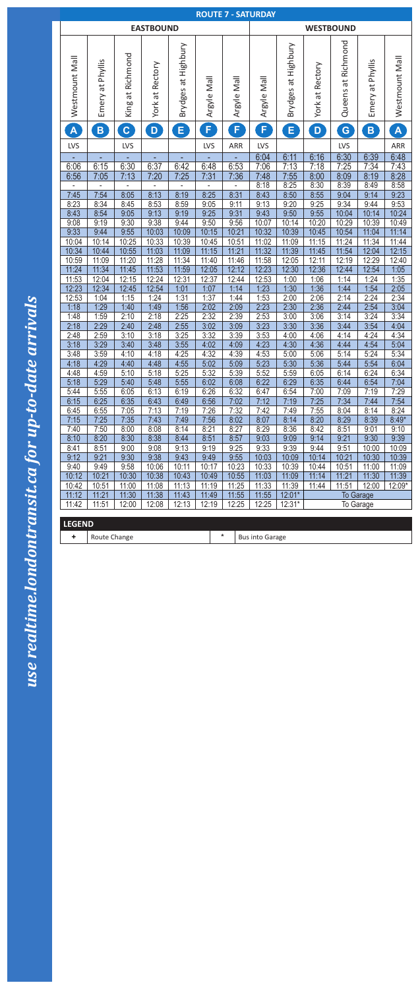

| <b>ROUTE 7 - SATURDAY</b> |                  |                  |                  |                                 |              |                  |                        |                               |                 |                       |                  |                |  |
|---------------------------|------------------|------------------|------------------|---------------------------------|--------------|------------------|------------------------|-------------------------------|-----------------|-----------------------|------------------|----------------|--|
|                           |                  |                  | <b>EASTBOUND</b> |                                 |              | <b>WESTBOUND</b> |                        |                               |                 |                       |                  |                |  |
| Westmount Mall            | Emery at Phyllis | King at Richmond | York at Rectory  | Highbury<br>đ<br><b>Brydges</b> | Argyle Mall  | Argyle Mall      | Argyle Mall            | at Highbury<br><b>Brydges</b> | York at Rectory | Richmond<br>Queens at | Emery at Phyllis | Westmount Mall |  |
| $\blacktriangle$          | $\mathbf{B}$     | $\mathbf{C}$     | $\mathbf{D}$     | E,                              | F,           | F.               | F.                     | E,                            | D               | G                     | $\mathbf{B}$     | $\mathbf{A}$   |  |
| LVS                       |                  | LVS              |                  |                                 | LVS          | ARR              | LVS                    |                               |                 | <b>LVS</b>            |                  | ARR            |  |
|                           |                  |                  |                  |                                 |              |                  | 6:04                   | 6:11                          | 6:16            | 6:30                  | 6:39             | 6:48           |  |
| 6:06                      | 6:15             | 6:30             | 6:37             | 6:42                            | 6:48         | 6:53             | 7:06                   | 7:13                          | 7:18            | 7:25                  | 7:34             | 7:43           |  |
| 6:56                      | 7:05             | 7:13             | 7:20             | 7:25                            | 7:31         | 7:36             | 7:48                   | 7:55                          | 8:00            | 8:09                  | 8:19             | 8:28           |  |
|                           |                  |                  |                  |                                 |              |                  | 8:18                   | 8:25                          | 8:30            | 8:39                  | 8:49             | 8:58           |  |
| 7:45                      | 7:54             | 8:05             | 8:13             | 8:19                            | 8:25         | 8:31             | 8:43                   | 8:50                          | 8:55            | 9:04                  | 9:14             | 9:23           |  |
| 8:23                      | 8:34             | 8:45             | 8:53             | 8:59                            | 9:05         | 9:11             | 9:13                   | 9:20                          | 9:25            | 9:34                  | 9:44             | 9:53           |  |
| 8:43                      | 8:54             | 9:05             | 9:13             | 9:19                            | 9:25         | 9:31             | 9:43                   | 9:50                          | 9:55            | 10:04                 | 10:14            | 10:24          |  |
| 9:08                      | 9:19             | 9:30             | 9:38             | 9:44                            | 9:50         | 9:56             | 10:07                  | 10:14                         | 10:20           | 10:29                 | 10:39            | 10:49          |  |
| 9:33                      | 9:44             | 9:55             | 10:03            | 10:09                           | 10:15        | 10:21            | 10:32                  | 10:39                         | 10:45           | 10:54                 | 11:04            | 11:14          |  |
| 10:04                     | 10:14            | 10:25            | 10:33            | 10:39                           | 10:45        | 10:51            | 11:02                  | 11:09                         | 11:15           | 11:24                 | 11:34            | 11:44          |  |
| 10:34                     | 10:44            | 10:55            | 11:03            | 11:09                           | 11:15        | 11:21            | 11:32                  | 11:39                         | 11:45           | 11:54                 | 12:04            | 12:15          |  |
| 10:59                     | 11:09            | 11:20            | 11:28            | 11:34                           | 11:40        | 11:46            | 11:58                  | 12:05                         | 12:11           | 12:19                 | 12:29            | 12:40          |  |
| 11:24                     | 11:34            | 11:45            | 11:53            | 11:59                           | 12:05        | 12:12            | 12:23                  | 12:30                         | 12:36           | 12:44                 | 12:54            | 1:05           |  |
| 11:53                     | 12:04            | 12:15            | 12:24            | 12:31                           | 12:37        | 12:44            | 12:53                  | 1:00                          | 1:06            | 1:14                  | 1:24             | 1:35           |  |
| 12:23<br>12:53            | 12:34<br>1:04    | 12:45<br>1:15    | 12:54<br>1:24    | 1:01<br>1:31                    | 1:07<br>1:37 | 1:14<br>1:44     | 1:23<br>1:53           | 1:30<br>2:00                  | 1:36<br>2:06    | 1:44<br>2:14          | 1:54<br>2:24     | 2:05<br>2:34   |  |
| 1:18                      | 1:29             | 1:40             | 1:49             | 1:56                            | 2:02         | 2:09             | 2:23                   | 2:30                          | 2:36            | 2:44                  | 2:54             | 3:04           |  |
| 1:48                      | 1:59             | 2:10             | 2:18             | 2:25                            | 2:32         | 2:39             | 2:53                   | 3:00                          | 3:06            | 3:14                  | 3:24             | 3:34           |  |
| 2:18                      | 2:29             | 2:40             | 2:48             | 2:55                            | 3:02         | 3:09             | 3:23                   | 3:30                          | 3:36            | 3:44                  | 3:54             | 4:04           |  |
| 2:48                      | 2:59             | 3:10             | 3:18             | 3:25                            | 3:32         | 3:39             | 3:53                   | 4:00                          | 4:06            | 4:14                  | 4:24             | 4:34           |  |
| 3:18                      | 3:29             | 3:40             | 3:48             | 3:55                            | 4:02         | 4:09             | 4:23                   | 4:30                          | 4:36            | 4:44                  | 4:54             | 5:04           |  |
| 3:48                      | 3:59             | 4:10             | 4:18             | 4:25                            | 4:32         | 4:39             | 4:53                   | 5:00                          | 5:06            | 5:14                  | 5:24             | 5:34           |  |
| 4:18                      | 4:29             | 4:40             | 4:48             | 4:55                            | 5:02         | 5:09             | 5:23                   | 5:30                          | 5:36            | 5:44                  | 5:54             | 6:04           |  |
| 4:48                      | 4:59             | 5:10             | 5:18             | 5:25                            | 5:32         | 5:39             | 5:52                   | 5:59                          | 6:05            | 6:14                  | 6:24             | 6:34           |  |
| 5:18                      | 5:29             | 5:40             | 5:48             | 5:55                            | 6:02         | 6:08             | 6:22                   | 6:29                          | 6:35            | 6:44                  | 6:54             | 7:04           |  |
| 5:44                      | 5:55             | 6:05             | 6:13             | 6:19                            | 6:26         | 6:32             | 6:47                   | 6:54                          | 7:00            | 7:09                  | 7:19             | 7:29           |  |
| 6:15                      | 6:25             | 6:35             | 6:43             | 6:49                            | 6:56         | 7:02             | 7:12                   | 7:19                          | 7:25            | 7:34                  | 7:44             | 7:54           |  |
| 6:45                      | 6:55             | 7:05             | 7:13             | 7:19                            | 7:26         | 7:32             | 7:42                   | 7:49                          | 7:55            | 8:04                  | 8:14             | 8:24           |  |
| 7:15                      | 7:25             | 7:35             | 7:43             | 7:49                            | 7:56         | 8:02             | 8:07                   | 8:14                          | 8:20            | 8:29                  | 8:39             | $8:49*$        |  |
| 7:40                      | 7:50             | 8:00             | 8:08             | 8:14                            | 8:21         | 8:27             | 8:29                   | 8:36                          | 8:42            | 8:51                  | 9:01             | 9:10           |  |
| 8:10                      | 8:20             | 8:30             | 8:38             | 8:44                            | 8:51         | 8:57             | 9:03                   | 9:09                          | 9:14            | 9:21                  | 9:30             | 9:39           |  |
| 8:41                      | 8:51             | 9:00             | 9:08             | 9:13                            | 9:19         | 9:25             | 9:33                   | 9:39                          | 9:44            | 9:51                  | 10:00            | 10:09          |  |
| 9:12                      | 9:21             | 9:30             | 9:38             | 9:43                            | 9:49         | 9:55             | 10:03                  | 10:09                         | 10:14           | 10:21                 | 10:30            | 10:39          |  |
| 9:40                      | 9:49             | 9:58             | 10:06            | 10:11                           | 10:17        | 10:23            | 10:33                  | 10:39                         | 10:44           | 10:51                 | 11:00            | 11:09          |  |
| 10:12                     | 10:21            | 10:30            | 10:38            | 10:43                           | 10:49        | 10:55            | 11:03                  | 11:09                         | 11:14           | 11:21                 | 11:30            | 11:39          |  |
| 10:42                     | 10:51            | 11:00            | 11:08            | 11:13                           | 11:19        | 11:25            | 11:33                  | 11:39                         | 11:44           | 11:51                 | 12:00            | 12:09*         |  |
| 11:12                     | 11:21            | 11:30            | 11:38            | 11:43                           | 11:49        | 11:55            | 11:55                  | $12:01*$                      | To Garage       |                       |                  |                |  |
| 11:42                     | 11:51            | 12:00            | 12:08            | 12:13                           | 12:19        | 12:25            | 12:25                  | 12:31*                        |                 |                       | To Garage        |                |  |
| <b>LEGEND</b>             |                  |                  |                  |                                 |              |                  |                        |                               |                 |                       |                  |                |  |
|                           |                  |                  |                  |                                 |              |                  |                        |                               |                 |                       |                  |                |  |
| ÷                         | Route Change     |                  |                  |                                 |              | *                | <b>Bus into Garage</b> |                               |                 |                       |                  |                |  |